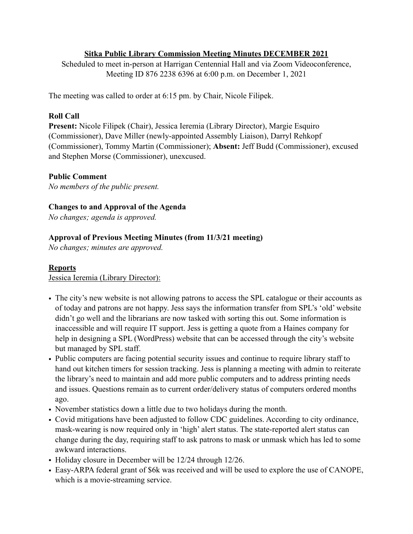## **Sitka Public Library Commission Meeting Minutes DECEMBER 2021**

Scheduled to meet in-person at Harrigan Centennial Hall and via Zoom Videoconference, Meeting ID 876 2238 6396 at 6:00 p.m. on December 1, 2021

The meeting was called to order at 6:15 pm. by Chair, Nicole Filipek.

## **Roll Call**

**Present:** Nicole Filipek (Chair), Jessica Ieremia (Library Director), Margie Esquiro (Commissioner), Dave Miller (newly-appointed Assembly Liaison), Darryl Rehkopf (Commissioner), Tommy Martin (Commissioner); **Absent:** Jeff Budd (Commissioner), excused and Stephen Morse (Commissioner), unexcused.

## **Public Comment**

*No members of the public present.* 

## **Changes to and Approval of the Agenda**

*No changes; agenda is approved.* 

# **Approval of Previous Meeting Minutes (from 11/3/21 meeting)**

*No changes; minutes are approved.* 

#### **Reports**

Jessica Ieremia (Library Director):

- The city's new website is not allowing patrons to access the SPL catalogue or their accounts as of today and patrons are not happy. Jess says the information transfer from SPL's 'old' website didn't go well and the librarians are now tasked with sorting this out. Some information is inaccessible and will require IT support. Jess is getting a quote from a Haines company for help in designing a SPL (WordPress) website that can be accessed through the city's website but managed by SPL staff.
- Public computers are facing potential security issues and continue to require library staff to hand out kitchen timers for session tracking. Jess is planning a meeting with admin to reiterate the library's need to maintain and add more public computers and to address printing needs and issues. Questions remain as to current order/delivery status of computers ordered months ago.
- November statistics down a little due to two holidays during the month.
- Covid mitigations have been adjusted to follow CDC guidelines. According to city ordinance, mask-wearing is now required only in 'high' alert status. The state-reported alert status can change during the day, requiring staff to ask patrons to mask or unmask which has led to some awkward interactions.
- Holiday closure in December will be 12/24 through 12/26.
- Easy-ARPA federal grant of \$6k was received and will be used to explore the use of CANOPE, which is a movie-streaming service.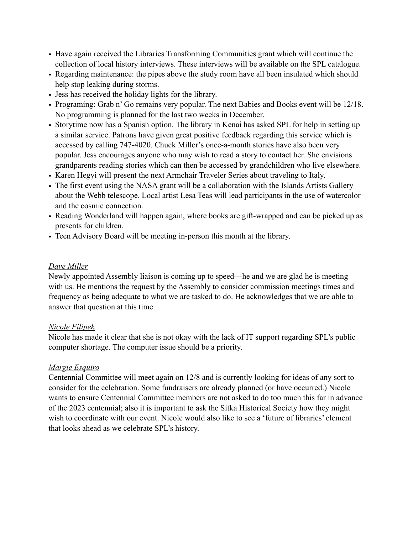- Have again received the Libraries Transforming Communities grant which will continue the collection of local history interviews. These interviews will be available on the SPL catalogue.
- Regarding maintenance: the pipes above the study room have all been insulated which should help stop leaking during storms.
- Jess has received the holiday lights for the library.
- Programing: Grab n' Go remains very popular. The next Babies and Books event will be 12/18. No programming is planned for the last two weeks in December.
- Storytime now has a Spanish option. The library in Kenai has asked SPL for help in setting up a similar service. Patrons have given great positive feedback regarding this service which is accessed by calling 747-4020. Chuck Miller's once-a-month stories have also been very popular. Jess encourages anyone who may wish to read a story to contact her. She envisions grandparents reading stories which can then be accessed by grandchildren who live elsewhere.
- Karen Hegyi will present the next Armchair Traveler Series about traveling to Italy.
- The first event using the NASA grant will be a collaboration with the Islands Artists Gallery about the Webb telescope. Local artist Lesa Teas will lead participants in the use of watercolor and the cosmic connection.
- Reading Wonderland will happen again, where books are gift-wrapped and can be picked up as presents for children.
- Teen Advisory Board will be meeting in-person this month at the library.

## *Dave Miller*

Newly appointed Assembly liaison is coming up to speed—he and we are glad he is meeting with us. He mentions the request by the Assembly to consider commission meetings times and frequency as being adequate to what we are tasked to do. He acknowledges that we are able to answer that question at this time.

#### *Nicole Filipek*

Nicole has made it clear that she is not okay with the lack of IT support regarding SPL's public computer shortage. The computer issue should be a priority.

# *Margie Esquiro*

Centennial Committee will meet again on 12/8 and is currently looking for ideas of any sort to consider for the celebration. Some fundraisers are already planned (or have occurred.) Nicole wants to ensure Centennial Committee members are not asked to do too much this far in advance of the 2023 centennial; also it is important to ask the Sitka Historical Society how they might wish to coordinate with our event. Nicole would also like to see a 'future of libraries' element that looks ahead as we celebrate SPL's history.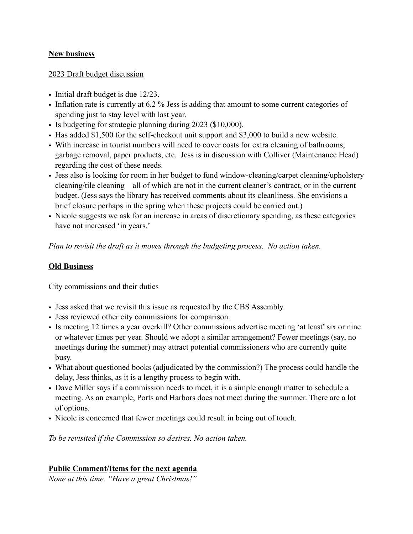## **New business**

#### 2023 Draft budget discussion

- Initial draft budget is due 12/23.
- Inflation rate is currently at 6.2 % Jess is adding that amount to some current categories of spending just to stay level with last year.
- Is budgeting for strategic planning during 2023 (\$10,000).
- Has added \$1,500 for the self-checkout unit support and \$3,000 to build a new website.
- With increase in tourist numbers will need to cover costs for extra cleaning of bathrooms, garbage removal, paper products, etc. Jess is in discussion with Colliver (Maintenance Head) regarding the cost of these needs.
- Jess also is looking for room in her budget to fund window-cleaning/carpet cleaning/upholstery cleaning/tile cleaning—all of which are not in the current cleaner's contract, or in the current budget. (Jess says the library has received comments about its cleanliness. She envisions a brief closure perhaps in the spring when these projects could be carried out.)
- Nicole suggests we ask for an increase in areas of discretionary spending, as these categories have not increased 'in years.'

*Plan to revisit the draft as it moves through the budgeting process. No action taken.* 

## **Old Business**

#### City commissions and their duties

- Jess asked that we revisit this issue as requested by the CBS Assembly.
- Jess reviewed other city commissions for comparison.
- Is meeting 12 times a year overkill? Other commissions advertise meeting 'at least' six or nine or whatever times per year. Should we adopt a similar arrangement? Fewer meetings (say, no meetings during the summer) may attract potential commissioners who are currently quite busy.
- What about questioned books (adjudicated by the commission?) The process could handle the delay, Jess thinks, as it is a lengthy process to begin with.
- Dave Miller says if a commission needs to meet, it is a simple enough matter to schedule a meeting. As an example, Ports and Harbors does not meet during the summer. There are a lot of options.
- Nicole is concerned that fewer meetings could result in being out of touch.

*To be revisited if the Commission so desires. No action taken.*

# **Public Comment/Items for the next agenda**

*None at this time. "Have a great Christmas!"*